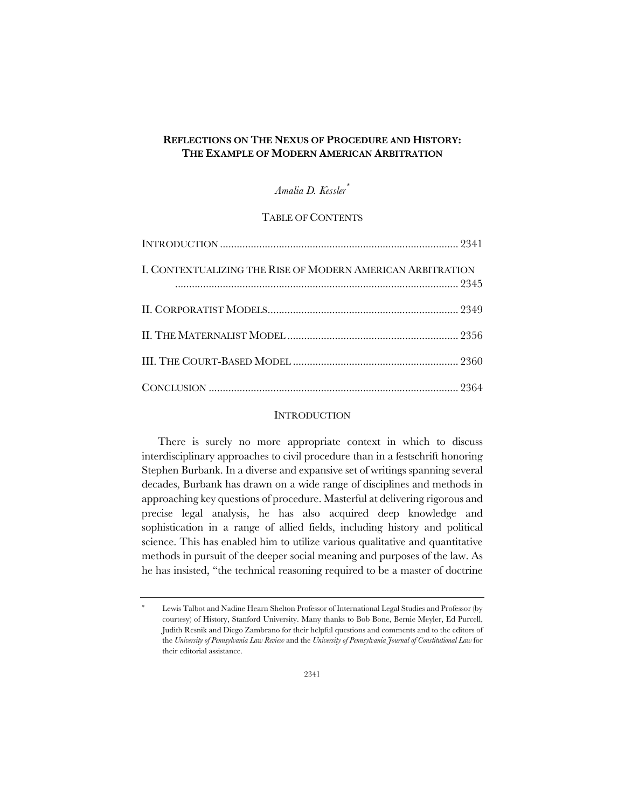# **REFLECTIONS ON THE NEXUS OF PROCEDURE AND HISTORY: THE EXAMPLE OF MODERN AMERICAN ARBITRATION**

# *Amalia D. Kessler*\*

## TABLE OF CONTENTS

| I. CONTEXTUALIZING THE RISE OF MODERN AMERICAN ARBITRATION |  |
|------------------------------------------------------------|--|
|                                                            |  |
|                                                            |  |
|                                                            |  |
|                                                            |  |

### INTRODUCTION

There is surely no more appropriate context in which to discuss interdisciplinary approaches to civil procedure than in a festschrift honoring Stephen Burbank. In a diverse and expansive set of writings spanning several decades, Burbank has drawn on a wide range of disciplines and methods in approaching key questions of procedure. Masterful at delivering rigorous and precise legal analysis, he has also acquired deep knowledge and sophistication in a range of allied fields, including history and political science. This has enabled him to utilize various qualitative and quantitative methods in pursuit of the deeper social meaning and purposes of the law. As he has insisted, "the technical reasoning required to be a master of doctrine

Lewis Talbot and Nadine Hearn Shelton Professor of International Legal Studies and Professor (by courtesy) of History, Stanford University. Many thanks to Bob Bone, Bernie Meyler, Ed Purcell, Judith Resnik and Diego Zambrano for their helpful questions and comments and to the editors of the *University of Pennsylvania Law Review* and the *University of Pennsylvania Journal of Constitutional Law* for their editorial assistance.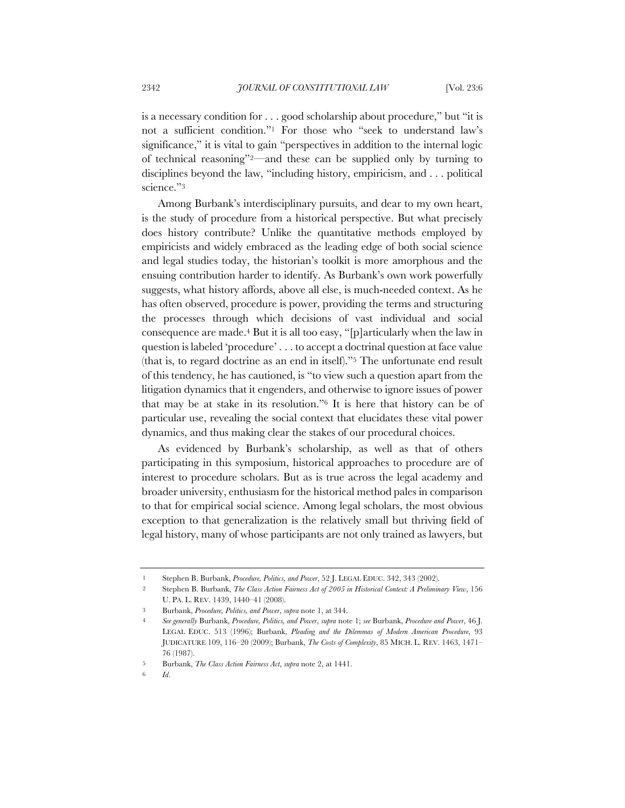is a necessary condition for . . . good scholarship about procedure," but "it is not a sufficient condition."1 For those who "seek to understand law's significance," it is vital to gain "perspectives in addition to the internal logic of technical reasoning"2—and these can be supplied only by turning to disciplines beyond the law, "including history, empiricism, and . . . political science."<sup>3</sup>

Among Burbank's interdisciplinary pursuits, and dear to my own heart, is the study of procedure from a historical perspective. But what precisely does history contribute? Unlike the quantitative methods employed by empiricists and widely embraced as the leading edge of both social science and legal studies today, the historian's toolkit is more amorphous and the ensuing contribution harder to identify. As Burbank's own work powerfully suggests, what history affords, above all else, is much-needed context. As he has often observed, procedure is power, providing the terms and structuring the processes through which decisions of vast individual and social consequence are made.4 But it is all too easy, "[p]articularly when the law in question is labeled 'procedure' . . . to accept a doctrinal question at face value (that is, to regard doctrine as an end in itself)."5 The unfortunate end result of this tendency, he has cautioned, is "to view such a question apart from the litigation dynamics that it engenders, and otherwise to ignore issues of power that may be at stake in its resolution."6 It is here that history can be of particular use, revealing the social context that elucidates these vital power dynamics, and thus making clear the stakes of our procedural choices.

As evidenced by Burbank's scholarship, as well as that of others participating in this symposium, historical approaches to procedure are of interest to procedure scholars. But as is true across the legal academy and broader university, enthusiasm for the historical method pales in comparison to that for empirical social science. Among legal scholars, the most obvious exception to that generalization is the relatively small but thriving field of legal history, many of whose participants are not only trained as lawyers, but

<sup>1</sup> Stephen B. Burbank, *Procedure, Politics, and Power*, 52 J. LEGAL EDUC. 342, 343 (2002).

<sup>2</sup> Stephen B. Burbank, *The Class Action Fairness Act of 2005 in Historical Context: A Preliminary View*, 156 U. PA. L. REV. 1439, 1440–41 (2008).

<sup>3</sup> Burbank, *Procedure, Politics, and Power*, *supra* note 1, at 344.

<sup>4</sup> *See generally* Burbank, *Procedure, Politics, and Power*, *supra* note 1; *see* Burbank, *Procedure and Power*, 46 J. LEGAL EDUC. 513 (1996); Burbank, *Pleading and the Dilemmas of Modern American Procedure*, 93 JUDICATURE 109, 116–20 (2009); Burbank, *The Costs of Complexity*, 85 MICH. L. REV. 1463, 1471– 76 (1987).

<sup>5</sup> Burbank, *The Class Action Fairness Act*, *supra* note 2, at 1441.

<sup>6</sup> *Id*.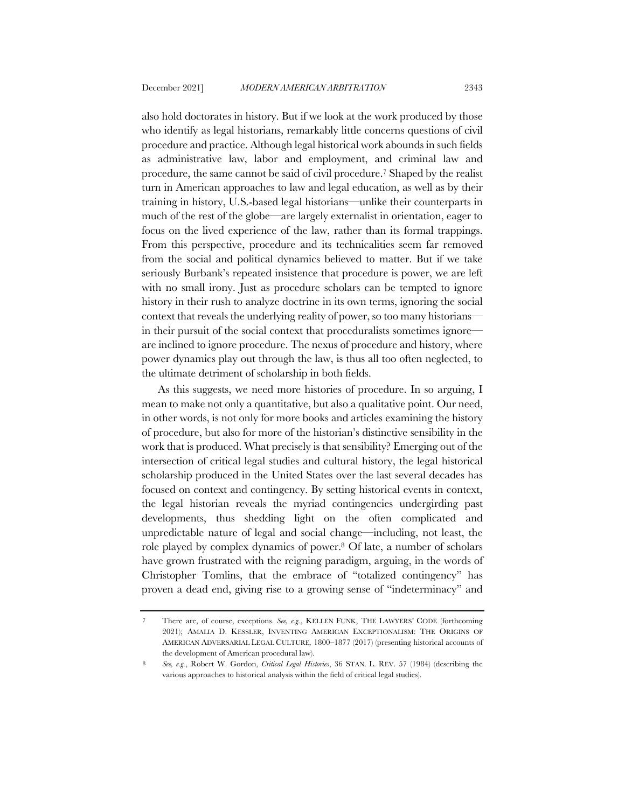also hold doctorates in history. But if we look at the work produced by those who identify as legal historians, remarkably little concerns questions of civil procedure and practice. Although legal historical work abounds in such fields as administrative law, labor and employment, and criminal law and procedure, the same cannot be said of civil procedure.7 Shaped by the realist turn in American approaches to law and legal education, as well as by their training in history, U.S.-based legal historians—unlike their counterparts in much of the rest of the globe—are largely externalist in orientation, eager to focus on the lived experience of the law, rather than its formal trappings. From this perspective, procedure and its technicalities seem far removed from the social and political dynamics believed to matter. But if we take seriously Burbank's repeated insistence that procedure is power, we are left with no small irony. Just as procedure scholars can be tempted to ignore history in their rush to analyze doctrine in its own terms, ignoring the social context that reveals the underlying reality of power, so too many historians in their pursuit of the social context that proceduralists sometimes ignore are inclined to ignore procedure. The nexus of procedure and history, where power dynamics play out through the law, is thus all too often neglected, to the ultimate detriment of scholarship in both fields.

As this suggests, we need more histories of procedure. In so arguing, I mean to make not only a quantitative, but also a qualitative point. Our need, in other words, is not only for more books and articles examining the history of procedure, but also for more of the historian's distinctive sensibility in the work that is produced. What precisely is that sensibility? Emerging out of the intersection of critical legal studies and cultural history, the legal historical scholarship produced in the United States over the last several decades has focused on context and contingency. By setting historical events in context, the legal historian reveals the myriad contingencies undergirding past developments, thus shedding light on the often complicated and unpredictable nature of legal and social change—including, not least, the role played by complex dynamics of power.8 Of late, a number of scholars have grown frustrated with the reigning paradigm, arguing, in the words of Christopher Tomlins, that the embrace of "totalized contingency" has proven a dead end, giving rise to a growing sense of "indeterminacy" and

<sup>7</sup> There are, of course, exceptions. *See, e.g.*, KELLEN FUNK, THE LAWYERS' CODE (forthcoming 2021); AMALIA D. KESSLER, INVENTING AMERICAN EXCEPTIONALISM: THE ORIGINS OF AMERICAN ADVERSARIAL LEGAL CULTURE*,* 1800–1877 (2017) (presenting historical accounts of the development of American procedural law).

<sup>8</sup> *See, e.g.*, Robert W. Gordon, *Critical Legal Histories*, 36 STAN. L. REV. 57 (1984) (describing the various approaches to historical analysis within the field of critical legal studies).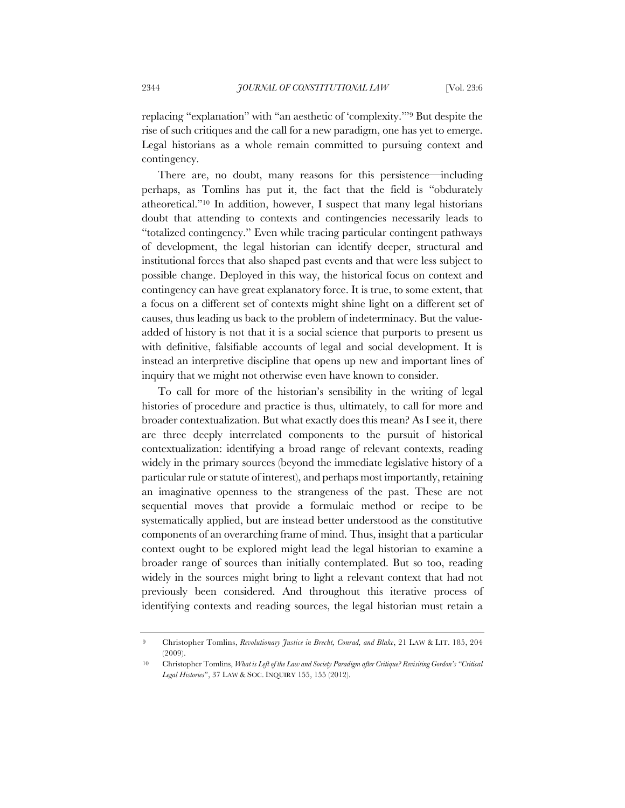replacing "explanation" with "an aesthetic of 'complexity.'"9 But despite the rise of such critiques and the call for a new paradigm, one has yet to emerge. Legal historians as a whole remain committed to pursuing context and contingency.

There are, no doubt, many reasons for this persistence—including perhaps, as Tomlins has put it, the fact that the field is "obdurately atheoretical."10 In addition, however, I suspect that many legal historians doubt that attending to contexts and contingencies necessarily leads to "totalized contingency." Even while tracing particular contingent pathways of development, the legal historian can identify deeper, structural and institutional forces that also shaped past events and that were less subject to possible change. Deployed in this way, the historical focus on context and contingency can have great explanatory force. It is true, to some extent, that a focus on a different set of contexts might shine light on a different set of causes, thus leading us back to the problem of indeterminacy. But the valueadded of history is not that it is a social science that purports to present us with definitive, falsifiable accounts of legal and social development. It is instead an interpretive discipline that opens up new and important lines of inquiry that we might not otherwise even have known to consider.

To call for more of the historian's sensibility in the writing of legal histories of procedure and practice is thus, ultimately, to call for more and broader contextualization. But what exactly does this mean? As I see it, there are three deeply interrelated components to the pursuit of historical contextualization: identifying a broad range of relevant contexts, reading widely in the primary sources (beyond the immediate legislative history of a particular rule or statute of interest), and perhaps most importantly, retaining an imaginative openness to the strangeness of the past. These are not sequential moves that provide a formulaic method or recipe to be systematically applied, but are instead better understood as the constitutive components of an overarching frame of mind. Thus, insight that a particular context ought to be explored might lead the legal historian to examine a broader range of sources than initially contemplated. But so too, reading widely in the sources might bring to light a relevant context that had not previously been considered. And throughout this iterative process of identifying contexts and reading sources, the legal historian must retain a

<sup>9</sup> Christopher Tomlins, *Revolutionary Justice in Brecht, Conrad, and Blake*, 21 LAW & LIT. 185, 204 (2009).

<sup>10</sup> Christopher Tomlins, *What is Left of the Law and Society Paradigm after Critique? Revisiting Gordon's "Critical Legal Histories*", 37 LAW & SOC. INQUIRY 155, 155 (2012).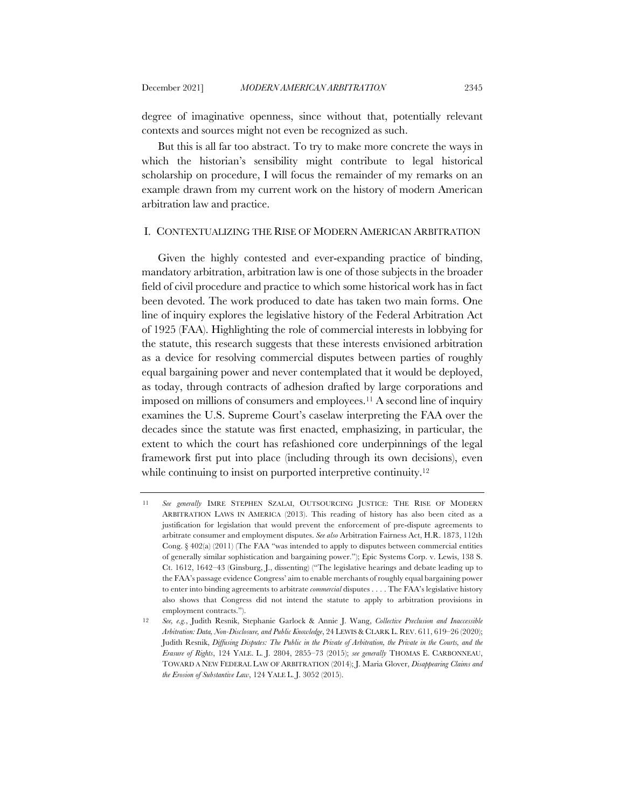degree of imaginative openness, since without that, potentially relevant contexts and sources might not even be recognized as such.

But this is all far too abstract. To try to make more concrete the ways in which the historian's sensibility might contribute to legal historical scholarship on procedure, I will focus the remainder of my remarks on an example drawn from my current work on the history of modern American arbitration law and practice.

## I. CONTEXTUALIZING THE RISE OF MODERN AMERICAN ARBITRATION

Given the highly contested and ever-expanding practice of binding, mandatory arbitration, arbitration law is one of those subjects in the broader field of civil procedure and practice to which some historical work has in fact been devoted. The work produced to date has taken two main forms. One line of inquiry explores the legislative history of the Federal Arbitration Act of 1925 (FAA). Highlighting the role of commercial interests in lobbying for the statute, this research suggests that these interests envisioned arbitration as a device for resolving commercial disputes between parties of roughly equal bargaining power and never contemplated that it would be deployed, as today, through contracts of adhesion drafted by large corporations and imposed on millions of consumers and employees.11 A second line of inquiry examines the U.S. Supreme Court's caselaw interpreting the FAA over the decades since the statute was first enacted, emphasizing, in particular, the extent to which the court has refashioned core underpinnings of the legal framework first put into place (including through its own decisions), even while continuing to insist on purported interpretive continuity.<sup>12</sup>

<sup>11</sup> *See generally* IMRE STEPHEN SZALAI, OUTSOURCING JUSTICE: THE RISE OF MODERN ARBITRATION LAWS IN AMERICA (2013). This reading of history has also been cited as a justification for legislation that would prevent the enforcement of pre-dispute agreements to arbitrate consumer and employment disputes. *See also* Arbitration Fairness Act, H.R. 1873, 112th Cong. § 402(a) (2011) (The FAA "was intended to apply to disputes between commercial entities of generally similar sophistication and bargaining power."); Epic Systems Corp. v. Lewis, 138 S. Ct. 1612, 1642–43 (Ginsburg, J., dissenting) ("The legislative hearings and debate leading up to the FAA's passage evidence Congress' aim to enable merchants of roughly equal bargaining power to enter into binding agreements to arbitrate *commercial* disputes . . . . The FAA's legislative history also shows that Congress did not intend the statute to apply to arbitration provisions in employment contracts.").

<sup>12</sup> *See, e.g.*, Judith Resnik, Stephanie Garlock & Annie J. Wang, *Collective Preclusion and Inaccessible Arbitration: Data, Non-Disclosure, and Public Knowledge*, 24 LEWIS & CLARK L. REV. 611, 619–26 (2020); Judith Resnik, *Diffusing Disputes: The Public in the Private of Arbitration, the Private in the Courts, and the Erasure of Rights*, 124 YALE. L. J. 2804, 2855–73 (2015); *see generally* THOMAS E. CARBONNEAU, TOWARD A NEW FEDERAL LAW OF ARBITRATION (2014); J. Maria Glover, *Disappearing Claims and the Erosion of Substantive Law*, 124 YALE L. J. 3052 (2015).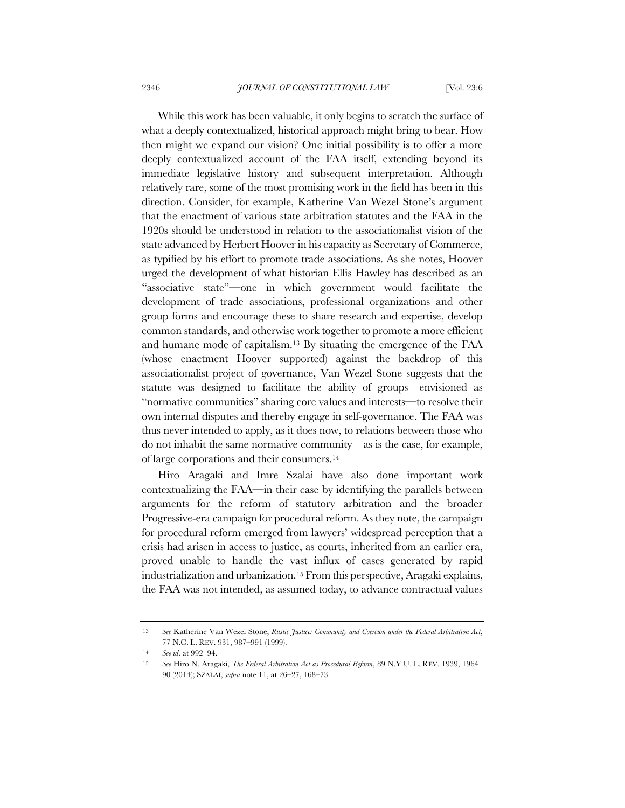While this work has been valuable, it only begins to scratch the surface of what a deeply contextualized, historical approach might bring to bear. How then might we expand our vision? One initial possibility is to offer a more deeply contextualized account of the FAA itself, extending beyond its immediate legislative history and subsequent interpretation. Although relatively rare, some of the most promising work in the field has been in this direction. Consider, for example, Katherine Van Wezel Stone's argument that the enactment of various state arbitration statutes and the FAA in the 1920s should be understood in relation to the associationalist vision of the state advanced by Herbert Hoover in his capacity as Secretary of Commerce, as typified by his effort to promote trade associations. As she notes, Hoover urged the development of what historian Ellis Hawley has described as an "associative state"—one in which government would facilitate the development of trade associations, professional organizations and other group forms and encourage these to share research and expertise, develop common standards, and otherwise work together to promote a more efficient and humane mode of capitalism.13 By situating the emergence of the FAA (whose enactment Hoover supported) against the backdrop of this associationalist project of governance, Van Wezel Stone suggests that the statute was designed to facilitate the ability of groups—envisioned as "normative communities" sharing core values and interests—to resolve their own internal disputes and thereby engage in self-governance. The FAA was thus never intended to apply, as it does now, to relations between those who do not inhabit the same normative community—as is the case, for example, of large corporations and their consumers.14

Hiro Aragaki and Imre Szalai have also done important work contextualizing the FAA—in their case by identifying the parallels between arguments for the reform of statutory arbitration and the broader Progressive-era campaign for procedural reform. As they note, the campaign for procedural reform emerged from lawyers' widespread perception that a crisis had arisen in access to justice, as courts, inherited from an earlier era, proved unable to handle the vast influx of cases generated by rapid industrialization and urbanization.15 From this perspective, Aragaki explains, the FAA was not intended, as assumed today, to advance contractual values

<sup>13</sup> *See* Katherine Van Wezel Stone, *Rustic Justice: Community and Coercion under the Federal Arbitration Act*, 77 N.C. L. REV. 931, 987–991 (1999).

<sup>14</sup> *See id*. at 992–94.

<sup>15</sup> *See* Hiro N. Aragaki, *The Federal Arbitration Act as Procedural Reform*, 89 N.Y.U. L. REV. 1939, 1964– 90 (2014); SZALAI, *supra* note 11, at 26–27, 168–73.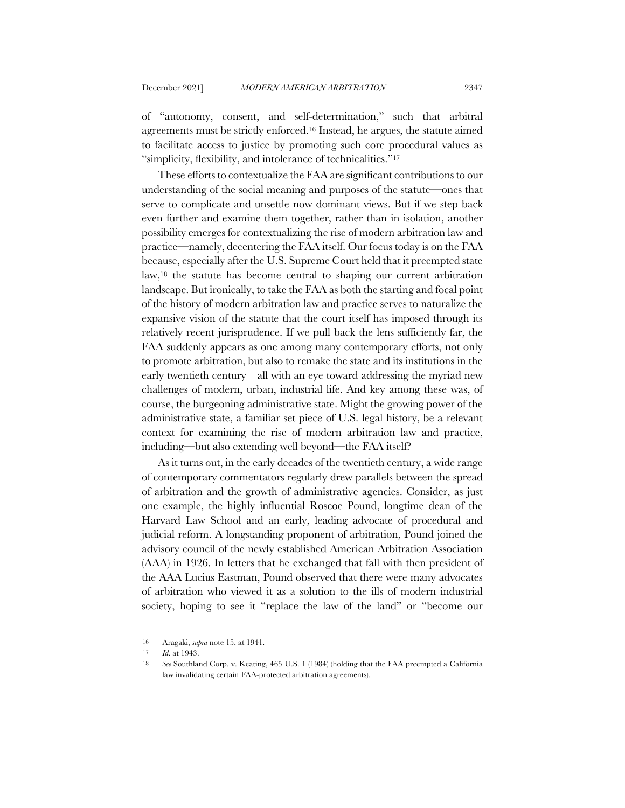of "autonomy, consent, and self-determination," such that arbitral agreements must be strictly enforced.16 Instead, he argues, the statute aimed to facilitate access to justice by promoting such core procedural values as "simplicity, flexibility, and intolerance of technicalities."17

These efforts to contextualize the FAA are significant contributions to our understanding of the social meaning and purposes of the statute—ones that serve to complicate and unsettle now dominant views. But if we step back even further and examine them together, rather than in isolation, another possibility emerges for contextualizing the rise of modern arbitration law and practice—namely, decentering the FAA itself. Our focus today is on the FAA because, especially after the U.S. Supreme Court held that it preempted state law,18 the statute has become central to shaping our current arbitration landscape. But ironically, to take the FAA as both the starting and focal point of the history of modern arbitration law and practice serves to naturalize the expansive vision of the statute that the court itself has imposed through its relatively recent jurisprudence. If we pull back the lens sufficiently far, the FAA suddenly appears as one among many contemporary efforts, not only to promote arbitration, but also to remake the state and its institutions in the early twentieth century—all with an eye toward addressing the myriad new challenges of modern, urban, industrial life. And key among these was, of course, the burgeoning administrative state. Might the growing power of the administrative state, a familiar set piece of U.S. legal history, be a relevant context for examining the rise of modern arbitration law and practice, including—but also extending well beyond—the FAA itself?

As it turns out, in the early decades of the twentieth century, a wide range of contemporary commentators regularly drew parallels between the spread of arbitration and the growth of administrative agencies. Consider, as just one example, the highly influential Roscoe Pound, longtime dean of the Harvard Law School and an early, leading advocate of procedural and judicial reform. A longstanding proponent of arbitration, Pound joined the advisory council of the newly established American Arbitration Association (AAA) in 1926. In letters that he exchanged that fall with then president of the AAA Lucius Eastman, Pound observed that there were many advocates of arbitration who viewed it as a solution to the ills of modern industrial society, hoping to see it "replace the law of the land" or "become our

<sup>16</sup> Aragaki, *supra* note 15, at 1941.

<sup>17</sup> *Id*. at 1943.

<sup>18</sup> *See* Southland Corp. v. Keating, 465 U.S. 1 (1984) (holding that the FAA preempted a California law invalidating certain FAA-protected arbitration agreements).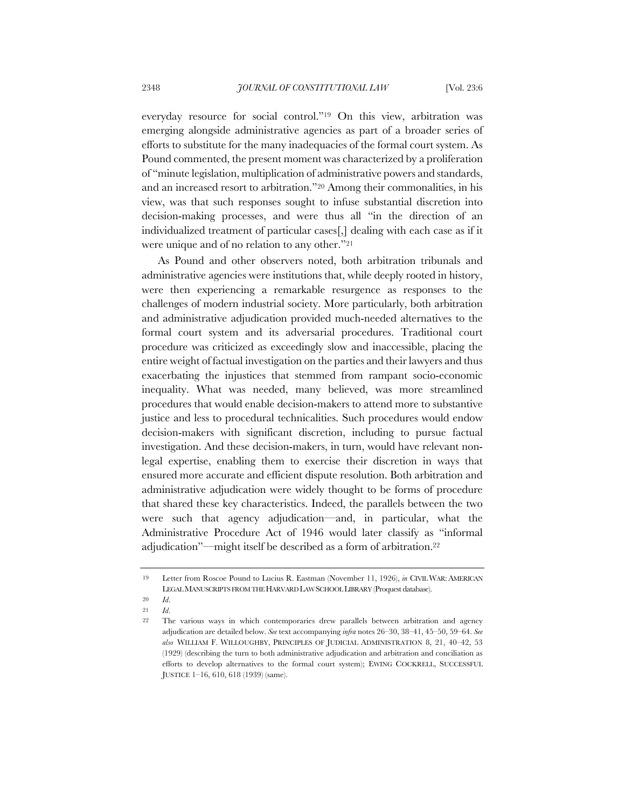everyday resource for social control."19 On this view, arbitration was emerging alongside administrative agencies as part of a broader series of efforts to substitute for the many inadequacies of the formal court system. As Pound commented, the present moment was characterized by a proliferation of "minute legislation, multiplication of administrative powers and standards, and an increased resort to arbitration."20 Among their commonalities, in his view, was that such responses sought to infuse substantial discretion into decision-making processes, and were thus all "in the direction of an individualized treatment of particular cases[,] dealing with each case as if it were unique and of no relation to any other."21

As Pound and other observers noted, both arbitration tribunals and administrative agencies were institutions that, while deeply rooted in history, were then experiencing a remarkable resurgence as responses to the challenges of modern industrial society. More particularly, both arbitration and administrative adjudication provided much-needed alternatives to the formal court system and its adversarial procedures. Traditional court procedure was criticized as exceedingly slow and inaccessible, placing the entire weight of factual investigation on the parties and their lawyers and thus exacerbating the injustices that stemmed from rampant socio-economic inequality. What was needed, many believed, was more streamlined procedures that would enable decision-makers to attend more to substantive justice and less to procedural technicalities. Such procedures would endow decision-makers with significant discretion, including to pursue factual investigation. And these decision-makers, in turn, would have relevant nonlegal expertise, enabling them to exercise their discretion in ways that ensured more accurate and efficient dispute resolution. Both arbitration and administrative adjudication were widely thought to be forms of procedure that shared these key characteristics. Indeed, the parallels between the two were such that agency adjudication—and, in particular, what the Administrative Procedure Act of 1946 would later classify as "informal adjudication"—might itself be described as a form of arbitration.22

21 *Id*.

<sup>19</sup> Letter from Roscoe Pound to Lucius R. Eastman (November 11, 1926), *in* CIVIL WAR:AMERICAN LEGAL MANUSCRIPTS FROM THE HARVARD LAW SCHOOL LIBRARY (Proquest database).

<sup>20</sup> *Id*.

<sup>22</sup> The various ways in which contemporaries drew parallels between arbitration and agency adjudication are detailed below. *See* text accompanying *infra* notes 26–30, 38–41, 45–50, 59–64. *See also* WILLIAM F. WILLOUGHBY, PRINCIPLES OF JUDICIAL ADMINISTRATION 8, 21, 40–42, 53 (1929) (describing the turn to both administrative adjudication and arbitration and conciliation as efforts to develop alternatives to the formal court system); EWING COCKRELL, SUCCESSFUL JUSTICE 1–16, 610, 618 (1939) (same).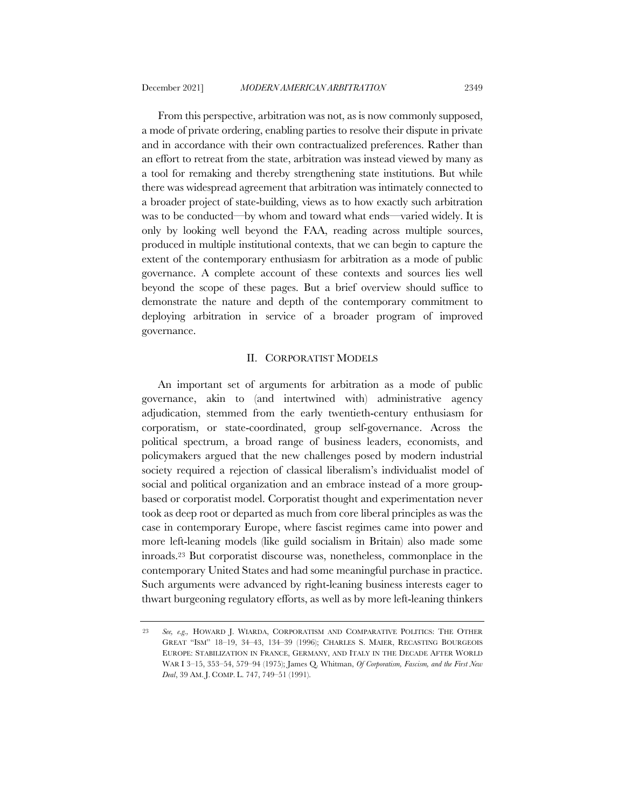From this perspective, arbitration was not, as is now commonly supposed, a mode of private ordering, enabling parties to resolve their dispute in private and in accordance with their own contractualized preferences. Rather than an effort to retreat from the state, arbitration was instead viewed by many as a tool for remaking and thereby strengthening state institutions. But while there was widespread agreement that arbitration was intimately connected to a broader project of state-building, views as to how exactly such arbitration was to be conducted—by whom and toward what ends—varied widely. It is only by looking well beyond the FAA, reading across multiple sources, produced in multiple institutional contexts, that we can begin to capture the extent of the contemporary enthusiasm for arbitration as a mode of public governance. A complete account of these contexts and sources lies well beyond the scope of these pages. But a brief overview should suffice to demonstrate the nature and depth of the contemporary commitment to deploying arbitration in service of a broader program of improved governance.

#### II. CORPORATIST MODELS

An important set of arguments for arbitration as a mode of public governance, akin to (and intertwined with) administrative agency adjudication, stemmed from the early twentieth-century enthusiasm for corporatism, or state-coordinated, group self-governance. Across the political spectrum, a broad range of business leaders, economists, and policymakers argued that the new challenges posed by modern industrial society required a rejection of classical liberalism's individualist model of social and political organization and an embrace instead of a more groupbased or corporatist model. Corporatist thought and experimentation never took as deep root or departed as much from core liberal principles as was the case in contemporary Europe, where fascist regimes came into power and more left-leaning models (like guild socialism in Britain) also made some inroads.23 But corporatist discourse was, nonetheless, commonplace in the contemporary United States and had some meaningful purchase in practice. Such arguments were advanced by right-leaning business interests eager to thwart burgeoning regulatory efforts, as well as by more left-leaning thinkers

<sup>23</sup> *See, e.g.,* HOWARD J. WIARDA, CORPORATISM AND COMPARATIVE POLITICS: THE OTHER GREAT "ISM" 18–19, 34–43, 134–39 (1996); CHARLES S. MAIER, RECASTING BOURGEOIS EUROPE: STABILIZATION IN FRANCE, GERMANY, AND ITALY IN THE DECADE AFTER WORLD WAR I 3–15, 353–54, 579–94 (1975); James Q. Whitman, *Of Corporatism, Fascism, and the First New Deal*, 39 AM. J. COMP. L. 747, 749–51 (1991).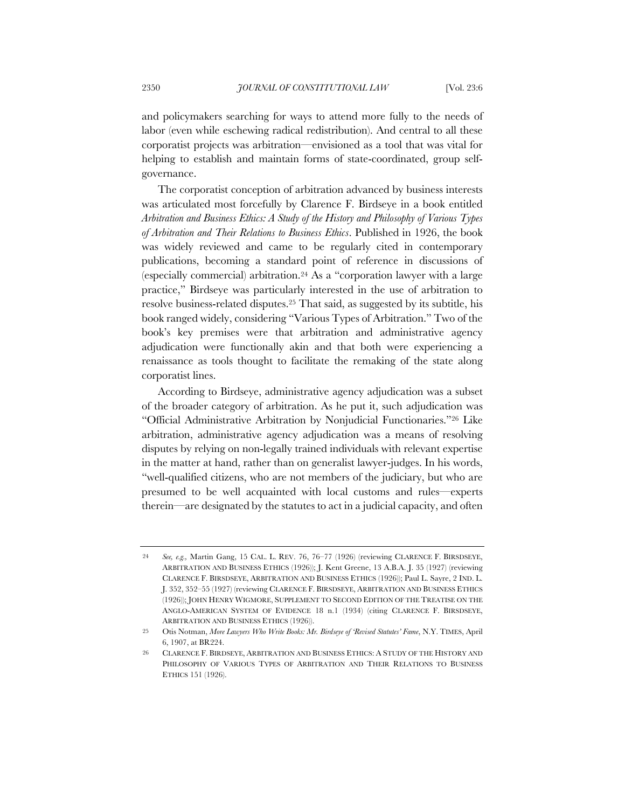and policymakers searching for ways to attend more fully to the needs of labor (even while eschewing radical redistribution). And central to all these corporatist projects was arbitration—envisioned as a tool that was vital for helping to establish and maintain forms of state-coordinated, group selfgovernance.

The corporatist conception of arbitration advanced by business interests was articulated most forcefully by Clarence F. Birdseye in a book entitled *Arbitration and Business Ethics: A Study of the History and Philosophy of Various Types of Arbitration and Their Relations to Business Ethics*. Published in 1926, the book was widely reviewed and came to be regularly cited in contemporary publications, becoming a standard point of reference in discussions of (especially commercial) arbitration.24 As a "corporation lawyer with a large practice," Birdseye was particularly interested in the use of arbitration to resolve business-related disputes.25 That said, as suggested by its subtitle, his book ranged widely, considering "Various Types of Arbitration." Two of the book's key premises were that arbitration and administrative agency adjudication were functionally akin and that both were experiencing a renaissance as tools thought to facilitate the remaking of the state along corporatist lines.

According to Birdseye, administrative agency adjudication was a subset of the broader category of arbitration. As he put it, such adjudication was "Official Administrative Arbitration by Nonjudicial Functionaries."26 Like arbitration, administrative agency adjudication was a means of resolving disputes by relying on non-legally trained individuals with relevant expertise in the matter at hand, rather than on generalist lawyer-judges. In his words, "well-qualified citizens, who are not members of the judiciary, but who are presumed to be well acquainted with local customs and rules—experts therein—are designated by the statutes to act in a judicial capacity, and often

<sup>24</sup> *See, e.g.,* Martin Gang, 15 CAL. L. REV. 76, 76–77 (1926) (reviewing CLARENCE F. BIRSDSEYE, ARBITRATION AND BUSINESS ETHICS (1926)); J. Kent Greene, 13 A.B.A. J. 35 (1927) (reviewing CLARENCE F. BIRSDSEYE, ARBITRATION AND BUSINESS ETHICS (1926)); Paul L. Sayre, 2 IND. L. J. 352, 352–55 (1927) (reviewing CLARENCE F. BIRSDSEYE, ARBITRATION AND BUSINESS ETHICS (1926)); JOHN HENRY WIGMORE, SUPPLEMENT TO SECOND EDITION OF THE TREATISE ON THE ANGLO-AMERICAN SYSTEM OF EVIDENCE 18 n.1 (1934) (citing CLARENCE F. BIRSDSEYE, ARBITRATION AND BUSINESS ETHICS (1926)).

<sup>25</sup> Otis Notman, *More Lawyers Who Write Books: Mr. Birdseye of 'Revised Statutes' Fame*, N.Y. TIMES, April 6, 1907, at BR224.

<sup>26</sup> CLARENCE F. BIRDSEYE, ARBITRATION AND BUSINESS ETHICS: A STUDY OF THE HISTORY AND PHILOSOPHY OF VARIOUS TYPES OF ARBITRATION AND THEIR RELATIONS TO BUSINESS ETHICS 151 (1926).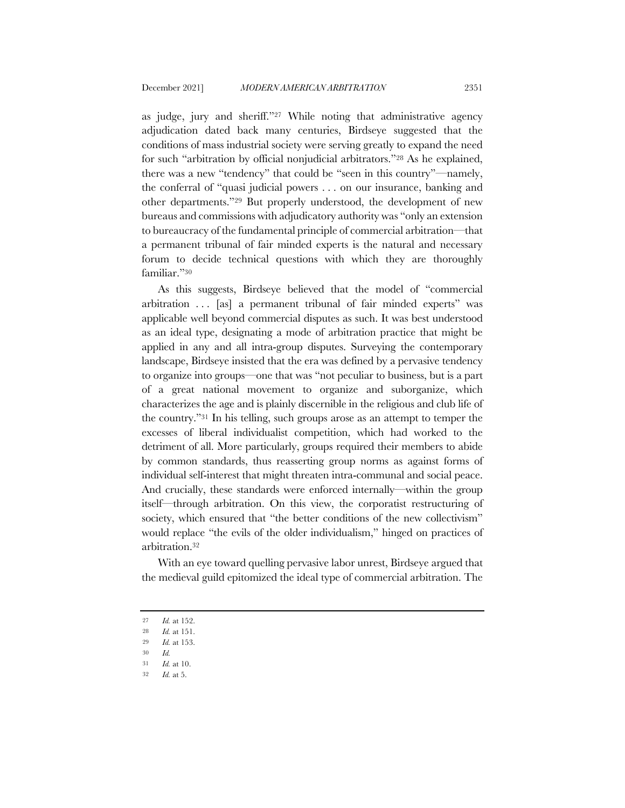as judge, jury and sheriff."27 While noting that administrative agency adjudication dated back many centuries, Birdseye suggested that the conditions of mass industrial society were serving greatly to expand the need for such "arbitration by official nonjudicial arbitrators."28 As he explained, there was a new "tendency" that could be "seen in this country"—namely, the conferral of "quasi judicial powers . . . on our insurance, banking and other departments."29 But properly understood, the development of new bureaus and commissions with adjudicatory authority was "only an extension to bureaucracy of the fundamental principle of commercial arbitration—that a permanent tribunal of fair minded experts is the natural and necessary forum to decide technical questions with which they are thoroughly familiar."30

As this suggests, Birdseye believed that the model of "commercial arbitration . . . [as] a permanent tribunal of fair minded experts" was applicable well beyond commercial disputes as such. It was best understood as an ideal type, designating a mode of arbitration practice that might be applied in any and all intra-group disputes. Surveying the contemporary landscape, Birdseye insisted that the era was defined by a pervasive tendency to organize into groups—one that was "not peculiar to business, but is a part of a great national movement to organize and suborganize, which characterizes the age and is plainly discernible in the religious and club life of the country."31 In his telling, such groups arose as an attempt to temper the excesses of liberal individualist competition, which had worked to the detriment of all. More particularly, groups required their members to abide by common standards, thus reasserting group norms as against forms of individual self-interest that might threaten intra-communal and social peace. And crucially, these standards were enforced internally—within the group itself—through arbitration. On this view, the corporatist restructuring of society, which ensured that "the better conditions of the new collectivism" would replace "the evils of the older individualism," hinged on practices of arbitration.32

With an eye toward quelling pervasive labor unrest, Birdseye argued that the medieval guild epitomized the ideal type of commercial arbitration. The

- 30 *Id.*
- 31 *Id.* at 10.

<sup>27</sup> *Id.* at 152.

<sup>28</sup> *Id.* at 151.

<sup>29</sup> *Id.* at 153.

<sup>32</sup> *Id.* at 5.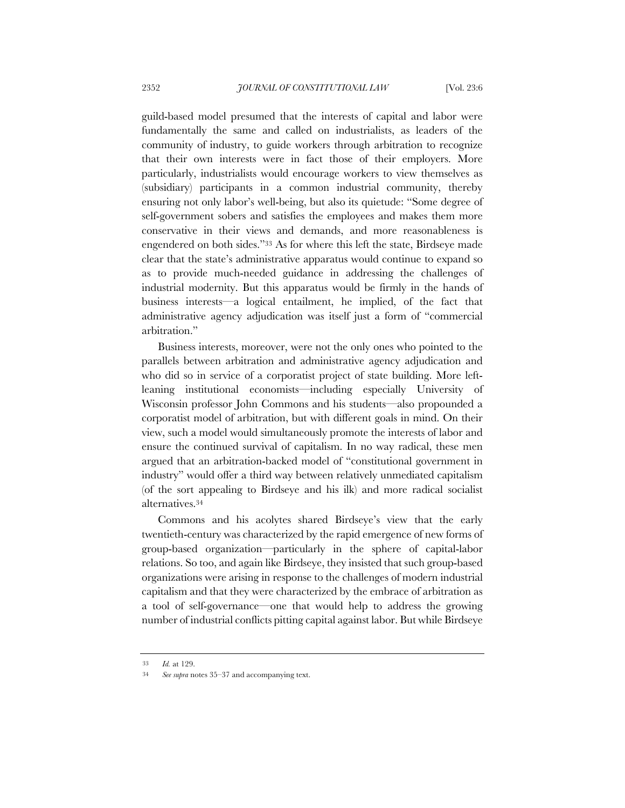guild-based model presumed that the interests of capital and labor were fundamentally the same and called on industrialists, as leaders of the community of industry, to guide workers through arbitration to recognize that their own interests were in fact those of their employers. More particularly, industrialists would encourage workers to view themselves as (subsidiary) participants in a common industrial community, thereby ensuring not only labor's well-being, but also its quietude: "Some degree of self-government sobers and satisfies the employees and makes them more conservative in their views and demands, and more reasonableness is engendered on both sides."33 As for where this left the state, Birdseye made clear that the state's administrative apparatus would continue to expand so as to provide much-needed guidance in addressing the challenges of industrial modernity. But this apparatus would be firmly in the hands of business interests—a logical entailment, he implied, of the fact that administrative agency adjudication was itself just a form of "commercial arbitration."

Business interests, moreover, were not the only ones who pointed to the parallels between arbitration and administrative agency adjudication and who did so in service of a corporatist project of state building. More leftleaning institutional economists—including especially University of Wisconsin professor John Commons and his students—also propounded a corporatist model of arbitration, but with different goals in mind. On their view, such a model would simultaneously promote the interests of labor and ensure the continued survival of capitalism. In no way radical, these men argued that an arbitration-backed model of "constitutional government in industry" would offer a third way between relatively unmediated capitalism (of the sort appealing to Birdseye and his ilk) and more radical socialist alternatives.34

Commons and his acolytes shared Birdseye's view that the early twentieth-century was characterized by the rapid emergence of new forms of group-based organization—particularly in the sphere of capital-labor relations. So too, and again like Birdseye, they insisted that such group-based organizations were arising in response to the challenges of modern industrial capitalism and that they were characterized by the embrace of arbitration as a tool of self-governance—one that would help to address the growing number of industrial conflicts pitting capital against labor. But while Birdseye

<sup>33</sup> *Id.* at 129.

<sup>34</sup> *See supra* notes 35–37 and accompanying text.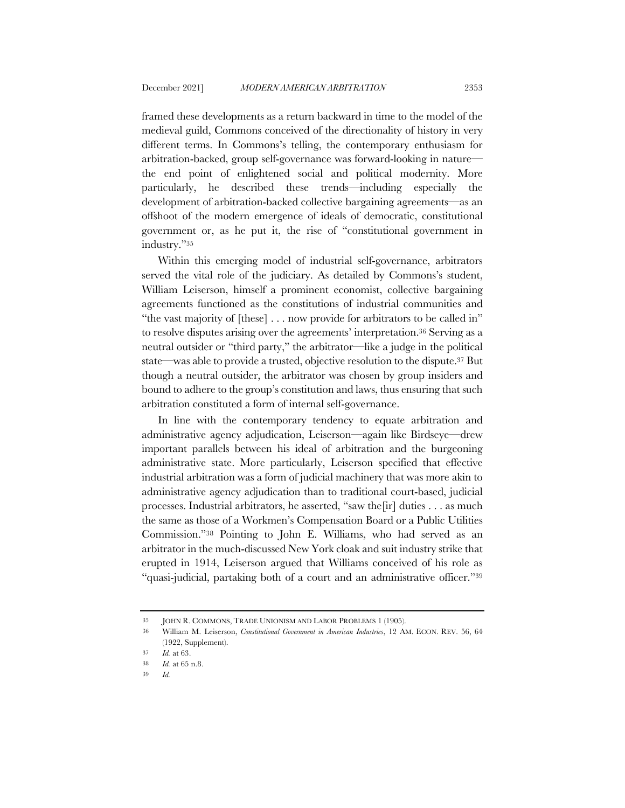framed these developments as a return backward in time to the model of the medieval guild, Commons conceived of the directionality of history in very different terms. In Commons's telling, the contemporary enthusiasm for arbitration-backed, group self-governance was forward-looking in nature the end point of enlightened social and political modernity. More particularly, he described these trends—including especially the development of arbitration-backed collective bargaining agreements—as an offshoot of the modern emergence of ideals of democratic, constitutional government or, as he put it, the rise of "constitutional government in industry."35

Within this emerging model of industrial self-governance, arbitrators served the vital role of the judiciary. As detailed by Commons's student, William Leiserson, himself a prominent economist, collective bargaining agreements functioned as the constitutions of industrial communities and "the vast majority of [these] . . . now provide for arbitrators to be called in" to resolve disputes arising over the agreements' interpretation.36 Serving as a neutral outsider or "third party," the arbitrator—like a judge in the political state—was able to provide a trusted, objective resolution to the dispute.37 But though a neutral outsider, the arbitrator was chosen by group insiders and bound to adhere to the group's constitution and laws, thus ensuring that such arbitration constituted a form of internal self-governance.

In line with the contemporary tendency to equate arbitration and administrative agency adjudication, Leiserson—again like Birdseye—drew important parallels between his ideal of arbitration and the burgeoning administrative state. More particularly, Leiserson specified that effective industrial arbitration was a form of judicial machinery that was more akin to administrative agency adjudication than to traditional court-based, judicial processes. Industrial arbitrators, he asserted, "saw the[ir] duties . . . as much the same as those of a Workmen's Compensation Board or a Public Utilities Commission."38 Pointing to John E. Williams, who had served as an arbitrator in the much-discussed New York cloak and suit industry strike that erupted in 1914, Leiserson argued that Williams conceived of his role as "quasi-judicial, partaking both of a court and an administrative officer."39

<sup>35</sup> JOHN R. COMMONS, TRADE UNIONISM AND LABOR PROBLEMS 1 (1905).

<sup>36</sup> William M. Leiserson, *Constitutional Government in American Industries*, 12 AM. ECON. REV. 56, 64 (1922, Supplement).

<sup>37</sup> *Id.* at 63.

<sup>38</sup> *Id.* at 65 n.8.

<sup>39</sup> *Id.*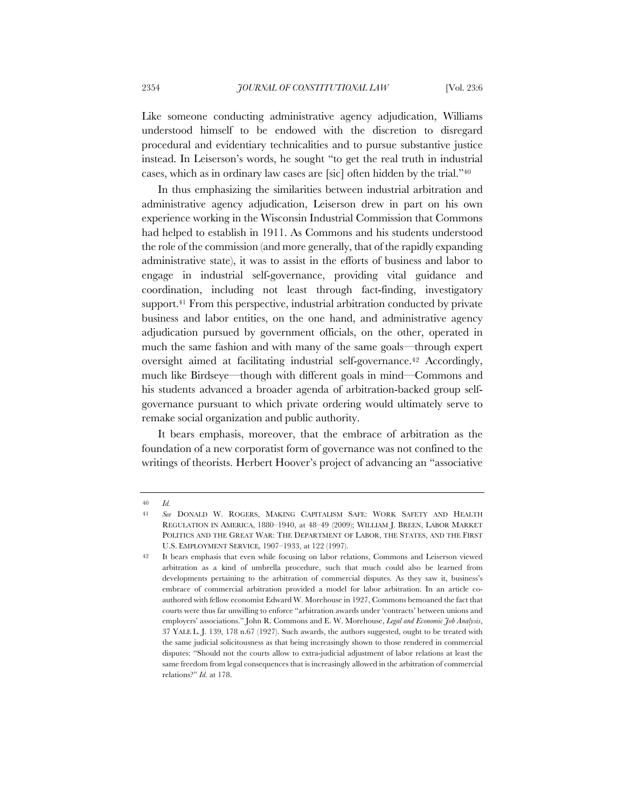Like someone conducting administrative agency adjudication, Williams understood himself to be endowed with the discretion to disregard procedural and evidentiary technicalities and to pursue substantive justice instead. In Leiserson's words, he sought "to get the real truth in industrial cases, which as in ordinary law cases are [sic] often hidden by the trial."40

In thus emphasizing the similarities between industrial arbitration and administrative agency adjudication, Leiserson drew in part on his own experience working in the Wisconsin Industrial Commission that Commons had helped to establish in 1911. As Commons and his students understood the role of the commission (and more generally, that of the rapidly expanding administrative state), it was to assist in the efforts of business and labor to engage in industrial self-governance, providing vital guidance and coordination, including not least through fact-finding, investigatory support.41 From this perspective, industrial arbitration conducted by private business and labor entities, on the one hand, and administrative agency adjudication pursued by government officials, on the other, operated in much the same fashion and with many of the same goals—through expert oversight aimed at facilitating industrial self-governance.42 Accordingly, much like Birdseye—though with different goals in mind—Commons and his students advanced a broader agenda of arbitration-backed group selfgovernance pursuant to which private ordering would ultimately serve to remake social organization and public authority.

It bears emphasis, moreover, that the embrace of arbitration as the foundation of a new corporatist form of governance was not confined to the writings of theorists. Herbert Hoover's project of advancing an "associative

<sup>40</sup> *Id.*

<sup>41</sup> *See* DONALD W. ROGERS, MAKING CAPITALISM SAFE: WORK SAFETY AND HEALTH REGULATION IN AMERICA, 1880–1940, at 48–49 (2009); WILLIAM J. BREEN, LABOR MARKET POLITICS AND THE GREAT WAR: THE DEPARTMENT OF LABOR, THE STATES, AND THE FIRST U.S. EMPLOYMENT SERVICE*,* 1907–1933, at 122 (1997).

<sup>42</sup> It bears emphasis that even while focusing on labor relations, Commons and Leiserson viewed arbitration as a kind of umbrella procedure, such that much could also be learned from developments pertaining to the arbitration of commercial disputes. As they saw it, business's embrace of commercial arbitration provided a model for labor arbitration. In an article coauthored with fellow economist Edward W. Morehouse in 1927, Commons bemoaned the fact that courts were thus far unwilling to enforce "arbitration awards under 'contracts' between unions and employers' associations." John R. Commons and E. W. Morehouse, *Legal and Economic Job Analysis*, 37 YALE L. J. 139, 178 n.67 (1927). Such awards, the authors suggested, ought to be treated with the same judicial solicitousness as that being increasingly shown to those rendered in commercial disputes: "Should not the courts allow to extra-judicial adjustment of labor relations at least the same freedom from legal consequences that is increasingly allowed in the arbitration of commercial relations?" *Id.* at 178.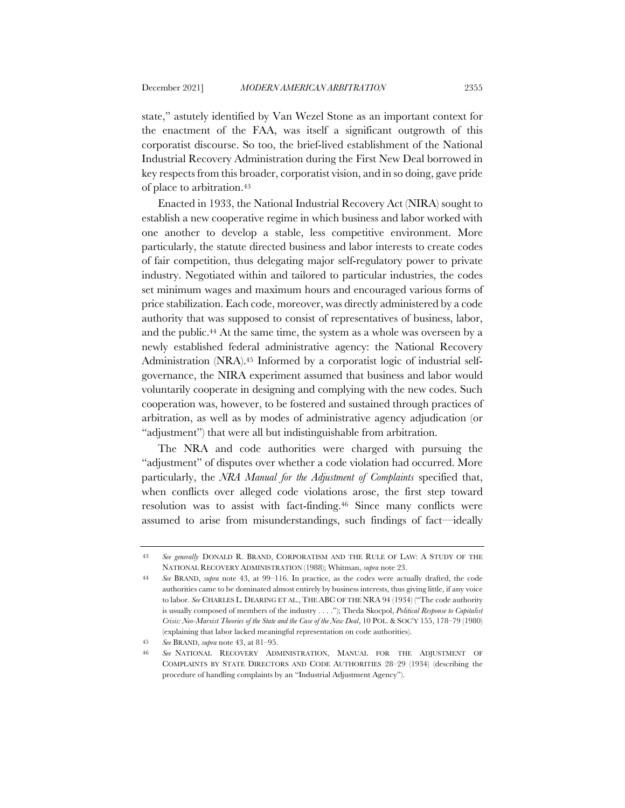state," astutely identified by Van Wezel Stone as an important context for the enactment of the FAA, was itself a significant outgrowth of this corporatist discourse. So too, the brief-lived establishment of the National Industrial Recovery Administration during the First New Deal borrowed in key respects from this broader, corporatist vision, and in so doing, gave pride of place to arbitration.43

Enacted in 1933, the National Industrial Recovery Act (NIRA) sought to establish a new cooperative regime in which business and labor worked with one another to develop a stable, less competitive environment. More particularly, the statute directed business and labor interests to create codes of fair competition, thus delegating major self-regulatory power to private industry. Negotiated within and tailored to particular industries, the codes set minimum wages and maximum hours and encouraged various forms of price stabilization. Each code, moreover, was directly administered by a code authority that was supposed to consist of representatives of business, labor, and the public.44 At the same time, the system as a whole was overseen by a newly established federal administrative agency: the National Recovery Administration (NRA).45 Informed by a corporatist logic of industrial selfgovernance, the NIRA experiment assumed that business and labor would voluntarily cooperate in designing and complying with the new codes. Such cooperation was, however, to be fostered and sustained through practices of arbitration, as well as by modes of administrative agency adjudication (or "adjustment") that were all but indistinguishable from arbitration.

The NRA and code authorities were charged with pursuing the "adjustment" of disputes over whether a code violation had occurred. More particularly, the *NRA Manual for the Adjustment of Complaints* specified that, when conflicts over alleged code violations arose, the first step toward resolution was to assist with fact-finding.46 Since many conflicts were assumed to arise from misunderstandings, such findings of fact—ideally

<sup>43</sup> *See generally* DONALD R. BRAND, CORPORATISM AND THE RULE OF LAW: A STUDY OF THE NATIONAL RECOVERY ADMINISTRATION (1988); Whitman, *supra* note 23.

<sup>44</sup> *See* BRAND, *supra* note 43, at 99–116. In practice, as the codes were actually drafted, the code authorities came to be dominated almost entirely by business interests, thus giving little, if any voice to labor. *See* CHARLES L. DEARING ET AL., THE ABC OF THE NRA 94 (1934) ("The code authority is usually composed of members of the industry . . . ."); Theda Skocpol, *Political Response to Capitalist Crisis: Neo-Marxist Theories of the State and the Case of the New Deal*, 10 POL. & SOC'Y 155, 178–79 (1980) (explaining that labor lacked meaningful representation on code authorities).

<sup>45</sup> *See* BRAND, *supra* note 43, at 81–95.

<sup>46</sup> *See* NATIONAL RECOVERY ADMINISTRATION, MANUAL FOR THE ADJUSTMENT OF COMPLAINTS BY STATE DIRECTORS AND CODE AUTHORITIES 28–29 (1934) (describing the procedure of handling complaints by an "Industrial Adjustment Agency").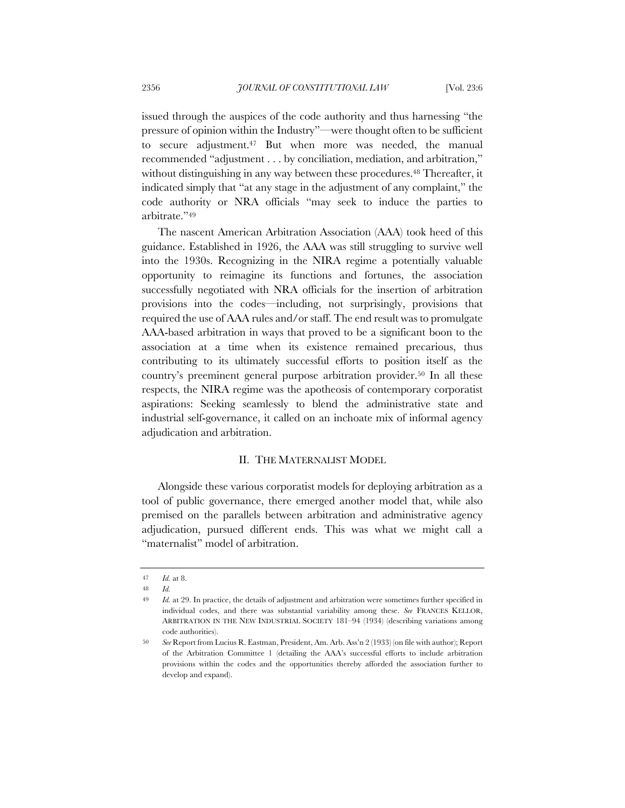issued through the auspices of the code authority and thus harnessing "the pressure of opinion within the Industry"—were thought often to be sufficient to secure adjustment.47 But when more was needed, the manual recommended "adjustment . . . by conciliation, mediation, and arbitration," without distinguishing in any way between these procedures.<sup>48</sup> Thereafter, it indicated simply that "at any stage in the adjustment of any complaint," the code authority or NRA officials "may seek to induce the parties to arbitrate."49

The nascent American Arbitration Association (AAA) took heed of this guidance. Established in 1926, the AAA was still struggling to survive well into the 1930s. Recognizing in the NIRA regime a potentially valuable opportunity to reimagine its functions and fortunes, the association successfully negotiated with NRA officials for the insertion of arbitration provisions into the codes—including, not surprisingly, provisions that required the use of AAA rules and/or staff. The end result was to promulgate AAA-based arbitration in ways that proved to be a significant boon to the association at a time when its existence remained precarious, thus contributing to its ultimately successful efforts to position itself as the country's preeminent general purpose arbitration provider.50 In all these respects, the NIRA regime was the apotheosis of contemporary corporatist aspirations: Seeking seamlessly to blend the administrative state and industrial self-governance, it called on an inchoate mix of informal agency adjudication and arbitration.

#### II. THE MATERNALIST MODEL

Alongside these various corporatist models for deploying arbitration as a tool of public governance, there emerged another model that, while also premised on the parallels between arbitration and administrative agency adjudication, pursued different ends. This was what we might call a "maternalist" model of arbitration.

<sup>47</sup> *Id.* at 8.

<sup>48</sup> *Id.*

<sup>49</sup> *Id.* at 29. In practice, the details of adjustment and arbitration were sometimes further specified in individual codes, and there was substantial variability among these. *See* FRANCES KELLOR, ARBITRATION IN THE NEW INDUSTRIAL SOCIETY 181–94 (1934) (describing variations among code authorities).

<sup>50</sup> *See* Report from Lucius R. Eastman, President, Am. Arb. Ass'n 2 (1933) (on file with author); Report of the Arbitration Committee 1 (detailing the AAA's successful efforts to include arbitration provisions within the codes and the opportunities thereby afforded the association further to develop and expand).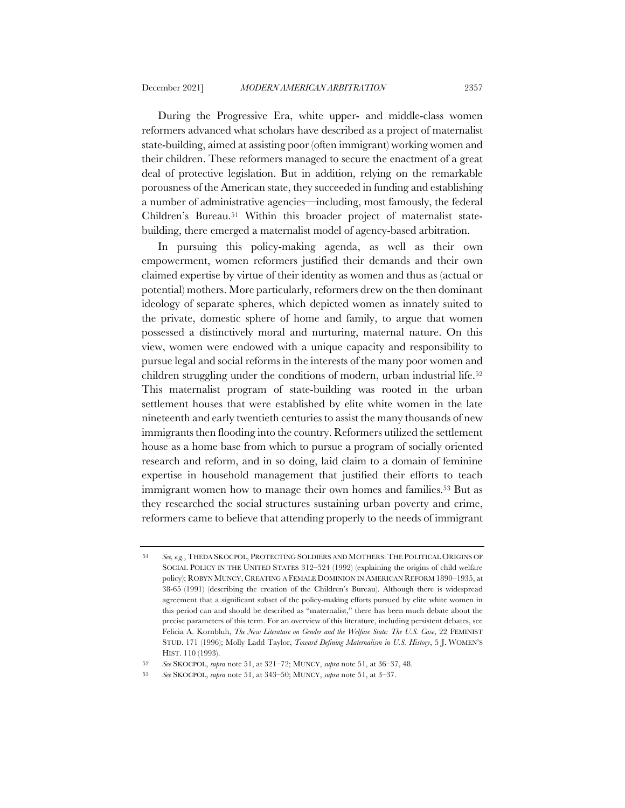During the Progressive Era, white upper- and middle-class women reformers advanced what scholars have described as a project of maternalist state-building, aimed at assisting poor (often immigrant) working women and their children. These reformers managed to secure the enactment of a great deal of protective legislation. But in addition, relying on the remarkable porousness of the American state, they succeeded in funding and establishing a number of administrative agencies—including, most famously, the federal Children's Bureau.51 Within this broader project of maternalist statebuilding, there emerged a maternalist model of agency-based arbitration.

In pursuing this policy-making agenda, as well as their own empowerment, women reformers justified their demands and their own claimed expertise by virtue of their identity as women and thus as (actual or potential) mothers. More particularly, reformers drew on the then dominant ideology of separate spheres, which depicted women as innately suited to the private, domestic sphere of home and family, to argue that women possessed a distinctively moral and nurturing, maternal nature. On this view, women were endowed with a unique capacity and responsibility to pursue legal and social reforms in the interests of the many poor women and children struggling under the conditions of modern, urban industrial life.<sup>52</sup> This maternalist program of state-building was rooted in the urban settlement houses that were established by elite white women in the late nineteenth and early twentieth centuries to assist the many thousands of new immigrants then flooding into the country. Reformers utilized the settlement house as a home base from which to pursue a program of socially oriented research and reform, and in so doing, laid claim to a domain of feminine expertise in household management that justified their efforts to teach immigrant women how to manage their own homes and families.<sup>53</sup> But as they researched the social structures sustaining urban poverty and crime, reformers came to believe that attending properly to the needs of immigrant

<sup>51</sup> *See, e.g.*, THEDA SKOCPOL, PROTECTING SOLDIERS AND MOTHERS: THE POLITICAL ORIGINS OF SOCIAL POLICY IN THE UNITED STATES 312–524 (1992) (explaining the origins of child welfare policy); ROBYN MUNCY, CREATING A FEMALE DOMINION IN AMERICAN REFORM 1890–1935, at 38-65 (1991) (describing the creation of the Children's Bureau). Although there is widespread agreement that a significant subset of the policy-making efforts pursued by elite white women in this period can and should be described as "maternalist," there has been much debate about the precise parameters of this term. For an overview of this literature, including persistent debates, see Felicia A. Kornbluh, *The New Literature on Gender and the Welfare State: The U.S. Case*, 22 FEMINIST STUD. 171 (1996); Molly Ladd Taylor, *Toward Defining Maternalism in U.S. History*, 5 J. WOMEN'S HIST. 110 (1993).

<sup>52</sup> *See* SKOCPOL, *supra* note 51, at 321–72; MUNCY, *supra* note 51, at 36–37, 48.

<sup>53</sup> *See* SKOCPOL, *supra* note 51, at 343–50; MUNCY, *supra* note 51, at 3–37.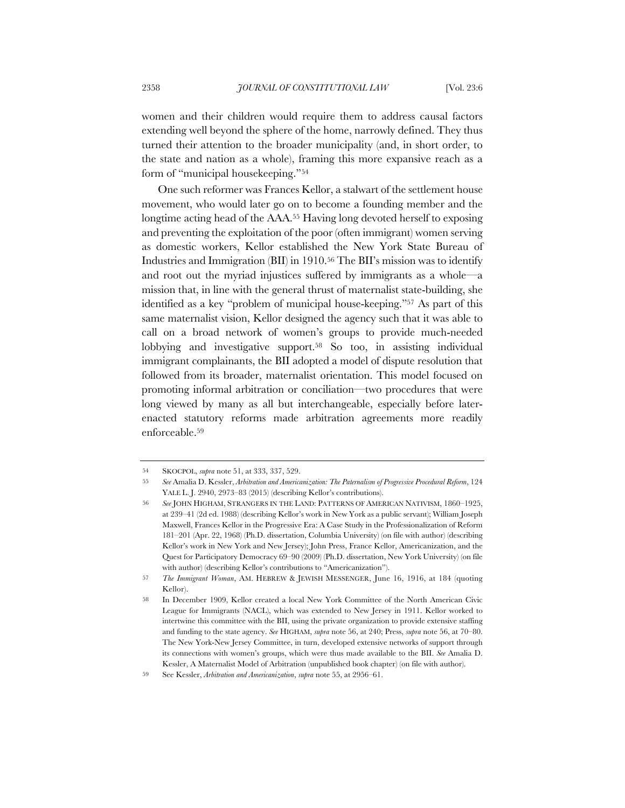women and their children would require them to address causal factors extending well beyond the sphere of the home, narrowly defined. They thus turned their attention to the broader municipality (and, in short order, to the state and nation as a whole), framing this more expansive reach as a form of "municipal housekeeping."54

One such reformer was Frances Kellor, a stalwart of the settlement house movement, who would later go on to become a founding member and the longtime acting head of the AAA.55 Having long devoted herself to exposing and preventing the exploitation of the poor (often immigrant) women serving as domestic workers, Kellor established the New York State Bureau of Industries and Immigration (BII) in 1910.56 The BII's mission was to identify and root out the myriad injustices suffered by immigrants as a whole—a mission that, in line with the general thrust of maternalist state-building, she identified as a key "problem of municipal house-keeping."57 As part of this same maternalist vision, Kellor designed the agency such that it was able to call on a broad network of women's groups to provide much-needed lobbying and investigative support.58 So too, in assisting individual immigrant complainants, the BII adopted a model of dispute resolution that followed from its broader, maternalist orientation. This model focused on promoting informal arbitration or conciliation—two procedures that were long viewed by many as all but interchangeable, especially before laterenacted statutory reforms made arbitration agreements more readily enforceable.59

<sup>54</sup> SKOCPOL, *supra* note 51, at 333, 337, 529.

<sup>55</sup> *See* Amalia D. Kessler, *Arbitration and Americanization: The Paternalism of Progressive Procedural Reform*, 124 YALE L.J. 2940, 2973-83 (2015) (describing Kellor's contributions).

<sup>56</sup> *See* JOHN HIGHAM, STRANGERS IN THE LAND: PATTERNS OF AMERICAN NATIVISM, 1860–1925, at 239–41 (2d ed. 1988) (describing Kellor's work in New York as a public servant); William Joseph Maxwell, Frances Kellor in the Progressive Era: A Case Study in the Professionalization of Reform 181–201 (Apr. 22, 1968) (Ph.D. dissertation, Columbia University) (on file with author) (describing Kellor's work in New York and New Jersey); John Press, France Kellor, Americanization, and the Quest for Participatory Democracy 69–90 (2009) (Ph.D. dissertation, New York University) (on file with author) (describing Kellor's contributions to "Americanization").

<sup>57</sup> *The Immigrant Woman*, AM. HEBREW & JEWISH MESSENGER, June 16, 1916, at 184 (quoting Kellor).

<sup>58</sup> In December 1909, Kellor created a local New York Committee of the North American Civic League for Immigrants (NACL), which was extended to New Jersey in 1911. Kellor worked to intertwine this committee with the BII, using the private organization to provide extensive staffing and funding to the state agency. *See* HIGHAM, *supra* note 56, at 240; Press, *supra* note 56, at 70–80. The New York-New Jersey Committee, in turn, developed extensive networks of support through its connections with women's groups, which were thus made available to the BII. *See* Amalia D. Kessler, A Maternalist Model of Arbitration (unpublished book chapter) (on file with author).

<sup>59</sup> See Kessler, *Arbitration and Americanization*, *supra* note 55, at 2956–61.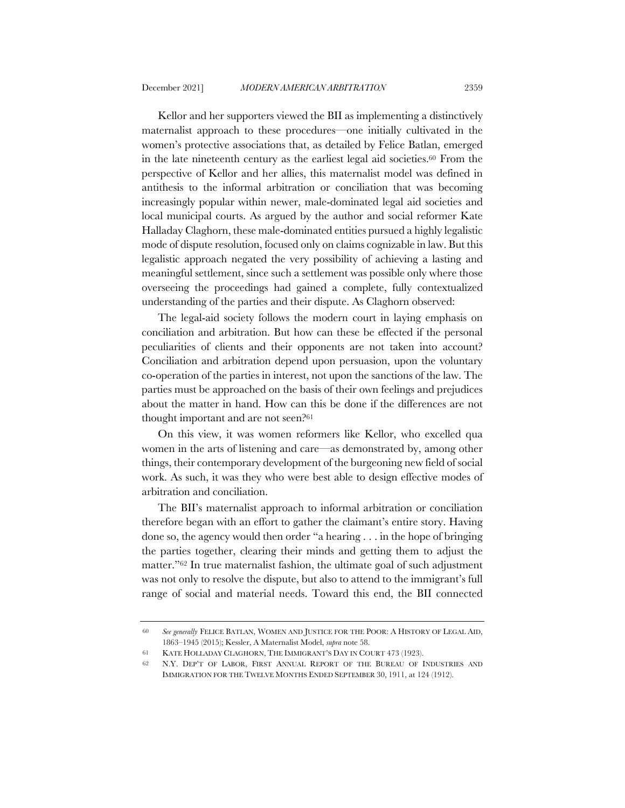Kellor and her supporters viewed the BII as implementing a distinctively maternalist approach to these procedures—one initially cultivated in the women's protective associations that, as detailed by Felice Batlan, emerged in the late nineteenth century as the earliest legal aid societies.60 From the perspective of Kellor and her allies, this maternalist model was defined in antithesis to the informal arbitration or conciliation that was becoming increasingly popular within newer, male-dominated legal aid societies and local municipal courts. As argued by the author and social reformer Kate Halladay Claghorn, these male-dominated entities pursued a highly legalistic mode of dispute resolution, focused only on claims cognizable in law. But this legalistic approach negated the very possibility of achieving a lasting and meaningful settlement, since such a settlement was possible only where those overseeing the proceedings had gained a complete, fully contextualized understanding of the parties and their dispute. As Claghorn observed:

The legal-aid society follows the modern court in laying emphasis on conciliation and arbitration. But how can these be effected if the personal peculiarities of clients and their opponents are not taken into account? Conciliation and arbitration depend upon persuasion, upon the voluntary co-operation of the parties in interest, not upon the sanctions of the law. The parties must be approached on the basis of their own feelings and prejudices about the matter in hand. How can this be done if the differences are not thought important and are not seen?61

On this view, it was women reformers like Kellor, who excelled qua women in the arts of listening and care—as demonstrated by, among other things, their contemporary development of the burgeoning new field of social work. As such, it was they who were best able to design effective modes of arbitration and conciliation.

The BII's maternalist approach to informal arbitration or conciliation therefore began with an effort to gather the claimant's entire story. Having done so, the agency would then order "a hearing . . . in the hope of bringing the parties together, clearing their minds and getting them to adjust the matter."62 In true maternalist fashion, the ultimate goal of such adjustment was not only to resolve the dispute, but also to attend to the immigrant's full range of social and material needs. Toward this end, the BII connected

<sup>60</sup> *See generally* FELICE BATLAN, WOMEN AND JUSTICE FOR THE POOR: A HISTORY OF LEGAL AID, 1863–1945 (2015); Kessler, A Maternalist Model, *supra* note 58.

<sup>61</sup> KATE HOLLADAY CLAGHORN, THE IMMIGRANT'S DAY IN COURT 473 (1923).

<sup>62</sup> N.Y. DEP'T OF LABOR, FIRST ANNUAL REPORT OF THE BUREAU OF INDUSTRIES AND IMMIGRATION FOR THE TWELVE MONTHS ENDED SEPTEMBER 30, 1911, at 124 (1912).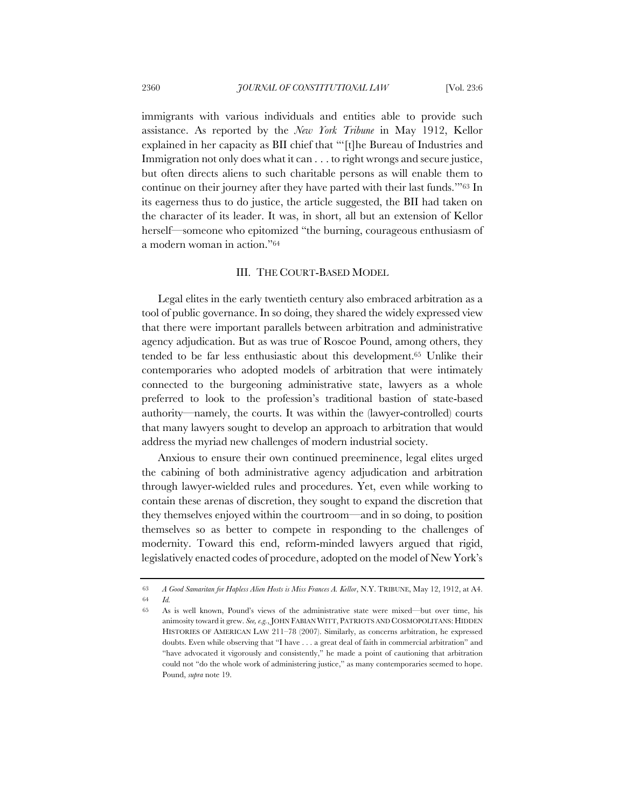immigrants with various individuals and entities able to provide such assistance. As reported by the *New York Tribune* in May 1912, Kellor explained in her capacity as BII chief that "'[t]he Bureau of Industries and Immigration not only does what it can . . . to right wrongs and secure justice, but often directs aliens to such charitable persons as will enable them to continue on their journey after they have parted with their last funds.'"63 In its eagerness thus to do justice, the article suggested, the BII had taken on the character of its leader. It was, in short, all but an extension of Kellor herself—someone who epitomized "the burning, courageous enthusiasm of a modern woman in action."64

#### III. THE COURT-BASED MODEL

Legal elites in the early twentieth century also embraced arbitration as a tool of public governance. In so doing, they shared the widely expressed view that there were important parallels between arbitration and administrative agency adjudication. But as was true of Roscoe Pound, among others, they tended to be far less enthusiastic about this development.65 Unlike their contemporaries who adopted models of arbitration that were intimately connected to the burgeoning administrative state, lawyers as a whole preferred to look to the profession's traditional bastion of state-based authority—namely, the courts. It was within the (lawyer-controlled) courts that many lawyers sought to develop an approach to arbitration that would address the myriad new challenges of modern industrial society.

Anxious to ensure their own continued preeminence, legal elites urged the cabining of both administrative agency adjudication and arbitration through lawyer-wielded rules and procedures. Yet, even while working to contain these arenas of discretion, they sought to expand the discretion that they themselves enjoyed within the courtroom—and in so doing, to position themselves so as better to compete in responding to the challenges of modernity. Toward this end, reform-minded lawyers argued that rigid, legislatively enacted codes of procedure, adopted on the model of New York's

<sup>63</sup> *A Good Samaritan for Hapless Alien Hosts is Miss Frances A. Kellor*, N.Y. TRIBUNE, May 12, 1912, at A4. 64 *Id.*

<sup>65</sup> As is well known, Pound's views of the administrative state were mixed—but over time, his animosity toward it grew. *See, e.g.*, JOHN FABIAN WITT, PATRIOTS AND COSMOPOLITANS: HIDDEN HISTORIES OF AMERICAN LAW 211–78 (2007). Similarly, as concerns arbitration, he expressed doubts. Even while observing that "I have . . . a great deal of faith in commercial arbitration" and "have advocated it vigorously and consistently," he made a point of cautioning that arbitration could not "do the whole work of administering justice," as many contemporaries seemed to hope. Pound, *supra* note 19.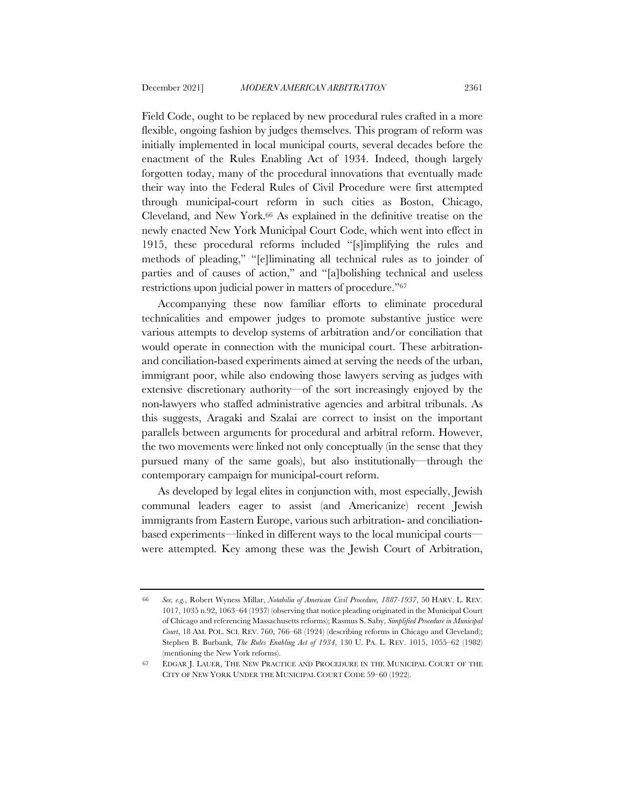Field Code, ought to be replaced by new procedural rules crafted in a more flexible, ongoing fashion by judges themselves. This program of reform was initially implemented in local municipal courts, several decades before the enactment of the Rules Enabling Act of 1934. Indeed, though largely forgotten today, many of the procedural innovations that eventually made their way into the Federal Rules of Civil Procedure were first attempted through municipal-court reform in such cities as Boston, Chicago, Cleveland, and New York.66 As explained in the definitive treatise on the newly enacted New York Municipal Court Code, which went into effect in 1915, these procedural reforms included "[s]implifying the rules and methods of pleading," "[e]liminating all technical rules as to joinder of parties and of causes of action," and "[a]bolishing technical and useless restrictions upon judicial power in matters of procedure."67

Accompanying these now familiar efforts to eliminate procedural technicalities and empower judges to promote substantive justice were various attempts to develop systems of arbitration and/or conciliation that would operate in connection with the municipal court. These arbitrationand conciliation-based experiments aimed at serving the needs of the urban, immigrant poor, while also endowing those lawyers serving as judges with extensive discretionary authority—of the sort increasingly enjoyed by the non-lawyers who staffed administrative agencies and arbitral tribunals. As this suggests, Aragaki and Szalai are correct to insist on the important parallels between arguments for procedural and arbitral reform. However, the two movements were linked not only conceptually (in the sense that they pursued many of the same goals), but also institutionally—through the contemporary campaign for municipal-court reform.

As developed by legal elites in conjunction with, most especially, Jewish communal leaders eager to assist (and Americanize) recent Jewish immigrants from Eastern Europe, various such arbitration- and conciliationbased experiments—linked in different ways to the local municipal courts were attempted. Key among these was the Jewish Court of Arbitration,

<sup>66</sup> *See, e.g.*, Robert Wyness Millar, *Notabilia of American Civil Procedure, 1887-1937*, 50 HARV. L. REV. 1017, 1035 n.92, 1063–64 (1937) (observing that notice pleading originated in the Municipal Court of Chicago and referencing Massachusetts reforms); Rasmus S. Saby, *Simplified Procedure in Municipal Court*, 18 AM. POL. SCI. REV. 760, 766–68 (1924) (describing reforms in Chicago and Cleveland); Stephen B. Burbank, *The Rules Enabling Act of 1934*, 130 U. PA. L. REV. 1015, 1055–62 (1982) (mentioning the New York reforms).

<sup>67</sup> EDGAR J. LAUER, THE NEW PRACTICE AND PROCEDURE IN THE MUNICIPAL COURT OF THE CITY OF NEW YORK UNDER THE MUNICIPAL COURT CODE 59–60 (1922).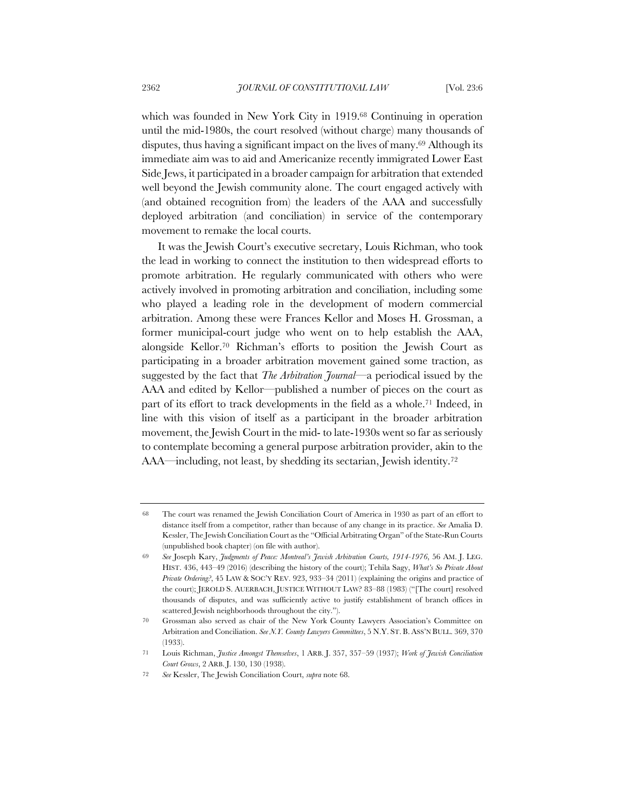which was founded in New York City in 1919.<sup>68</sup> Continuing in operation until the mid-1980s, the court resolved (without charge) many thousands of disputes, thus having a significant impact on the lives of many.<sup>69</sup> Although its immediate aim was to aid and Americanize recently immigrated Lower East Side Jews, it participated in a broader campaign for arbitration that extended well beyond the Jewish community alone. The court engaged actively with (and obtained recognition from) the leaders of the AAA and successfully deployed arbitration (and conciliation) in service of the contemporary movement to remake the local courts.

It was the Jewish Court's executive secretary, Louis Richman, who took the lead in working to connect the institution to then widespread efforts to promote arbitration. He regularly communicated with others who were actively involved in promoting arbitration and conciliation, including some who played a leading role in the development of modern commercial arbitration. Among these were Frances Kellor and Moses H. Grossman, a former municipal-court judge who went on to help establish the AAA, alongside Kellor.70 Richman's efforts to position the Jewish Court as participating in a broader arbitration movement gained some traction, as suggested by the fact that *The Arbitration Journal*—a periodical issued by the AAA and edited by Kellor—published a number of pieces on the court as part of its effort to track developments in the field as a whole.71 Indeed, in line with this vision of itself as a participant in the broader arbitration movement, the Jewish Court in the mid- to late-1930s went so far as seriously to contemplate becoming a general purpose arbitration provider, akin to the AAA—including, not least, by shedding its sectarian, Jewish identity.72

<sup>68</sup> The court was renamed the Jewish Conciliation Court of America in 1930 as part of an effort to distance itself from a competitor, rather than because of any change in its practice. *See* Amalia D. Kessler, The Jewish Conciliation Court as the "Official Arbitrating Organ" of the State-Run Courts (unpublished book chapter) (on file with author).

<sup>69</sup> *See* Joseph Kary, *Judgments of Peace: Montreal's Jewish Arbitration Courts, 1914-1976*, 56 AM. J. LEG. HIST. 436, 443–49 (2016) (describing the history of the court); Tehila Sagy, *What's So Private About Private Ordering?*, 45 LAW & SOC'Y REV. 923, 933–34 (2011) (explaining the origins and practice of the court); JEROLD S. AUERBACH, JUSTICE WITHOUT LAW? 83–88 (1983) ("[The court] resolved thousands of disputes, and was sufficiently active to justify establishment of branch offices in scattered Jewish neighborhoods throughout the city.").

<sup>70</sup> Grossman also served as chair of the New York County Lawyers Association's Committee on Arbitration and Conciliation. *See N.Y. County Lawyers Committees*, 5 N.Y. ST. B. ASS'N BULL. 369, 370 (1933).

<sup>71</sup> Louis Richman, *Justice Amongst Themselves*, 1 ARB. J. 357, 357–59 (1937); *Work of Jewish Conciliation Court Grows*, 2 ARB. J. 130, 130 (1938).

<sup>72</sup> *See* Kessler, The Jewish Conciliation Court, *supra* note 68.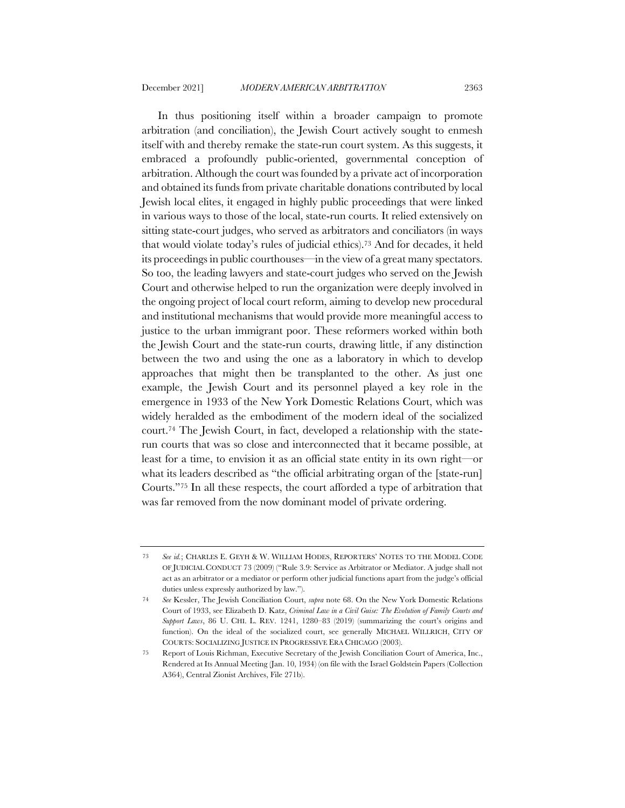In thus positioning itself within a broader campaign to promote arbitration (and conciliation), the Jewish Court actively sought to enmesh itself with and thereby remake the state-run court system. As this suggests, it embraced a profoundly public-oriented, governmental conception of arbitration. Although the court was founded by a private act of incorporation and obtained its funds from private charitable donations contributed by local Jewish local elites, it engaged in highly public proceedings that were linked in various ways to those of the local, state-run courts. It relied extensively on sitting state-court judges, who served as arbitrators and conciliators (in ways that would violate today's rules of judicial ethics).73 And for decades, it held its proceedings in public courthouses—in the view of a great many spectators. So too, the leading lawyers and state-court judges who served on the Jewish Court and otherwise helped to run the organization were deeply involved in the ongoing project of local court reform, aiming to develop new procedural and institutional mechanisms that would provide more meaningful access to justice to the urban immigrant poor. These reformers worked within both the Jewish Court and the state-run courts, drawing little, if any distinction between the two and using the one as a laboratory in which to develop approaches that might then be transplanted to the other. As just one example, the Jewish Court and its personnel played a key role in the emergence in 1933 of the New York Domestic Relations Court, which was widely heralded as the embodiment of the modern ideal of the socialized court.74 The Jewish Court, in fact, developed a relationship with the staterun courts that was so close and interconnected that it became possible, at least for a time, to envision it as an official state entity in its own right—or what its leaders described as "the official arbitrating organ of the [state-run] Courts."75 In all these respects, the court afforded a type of arbitration that was far removed from the now dominant model of private ordering.

<sup>73</sup> *See id.*; CHARLES E. GEYH & W. WILLIAM HODES, REPORTERS' NOTES TO THE MODEL CODE OF JUDICIAL CONDUCT 73 (2009) ("Rule 3.9: Service as Arbitrator or Mediator. A judge shall not act as an arbitrator or a mediator or perform other judicial functions apart from the judge's official duties unless expressly authorized by law.").

<sup>74</sup> *See* Kessler, The Jewish Conciliation Court, *supra* note 68. On the New York Domestic Relations Court of 1933, see Elizabeth D. Katz, *Criminal Law in a Civil Guise: The Evolution of Family Courts and Support Laws*, 86 U. CHI. L. REV. 1241, 1280–83 (2019) (summarizing the court's origins and function). On the ideal of the socialized court, see generally MICHAEL WILLRICH, CITY OF COURTS: SOCIALIZING JUSTICE IN PROGRESSIVE ERA CHICAGO (2003).

<sup>75</sup> Report of Louis Richman, Executive Secretary of the Jewish Conciliation Court of America, Inc., Rendered at Its Annual Meeting (Jan. 10, 1934) (on file with the Israel Goldstein Papers (Collection A364), Central Zionist Archives, File 271b).